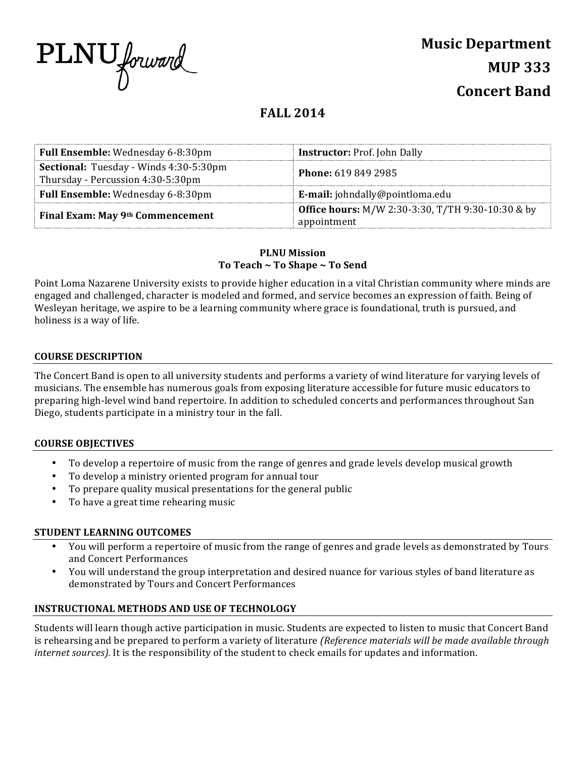

# **FALL 2014**

| Full Ensemble: Wednesday 6-8:30pm                                                  | <b>Instructor: Prof. John Dally</b>                                     |
|------------------------------------------------------------------------------------|-------------------------------------------------------------------------|
| <b>Sectional:</b> Tuesday - Winds 4:30-5:30pm<br>Thursday - Percussion 4:30-5:30pm | <b>Phone: 619 849 2985</b>                                              |
| Full Ensemble: Wednesday 6-8:30pm                                                  | E-mail: johndally@pointloma.edu                                         |
| Final Exam: May 9th Commencement                                                   | <b>Office hours:</b> M/W 2:30-3:30, T/TH 9:30-10:30 & by<br>appointment |

# **PLNU Mission** To Teach ~ To Shape ~ To Send

Point Loma Nazarene University exists to provide higher education in a vital Christian community where minds are engaged and challenged, character is modeled and formed, and service becomes an expression of faith. Being of Wesleyan heritage, we aspire to be a learning community where grace is foundational, truth is pursued, and holiness is a way of life.

# **COURSE DESCRIPTION**

The Concert Band is open to all university students and performs a variety of wind literature for varying levels of musicians. The ensemble has numerous goals from exposing literature accessible for future music educators to preparing high-level wind band repertoire. In addition to scheduled concerts and performances throughout San Diego, students participate in a ministry tour in the fall.

# **COURSE OBJECTIVES**

- To develop a repertoire of music from the range of genres and grade levels develop musical growth
- To develop a ministry oriented program for annual tour
- To prepare quality musical presentations for the general public
- To have a great time rehearing music

# **STUDENT LEARNING OUTCOMES**

- You will perform a repertoire of music from the range of genres and grade levels as demonstrated by Tours and Concert Performances
- You will understand the group interpretation and desired nuance for various styles of band literature as demonstrated by Tours and Concert Performances

### **INSTRUCTIONAL METHODS AND USE OF TECHNOLOGY**

Students will learn though active participation in music. Students are expected to listen to music that Concert Band is rehearsing and be prepared to perform a variety of literature *(Reference materials will be made available through internet sources).* It is the responsibility of the student to check emails for updates and information.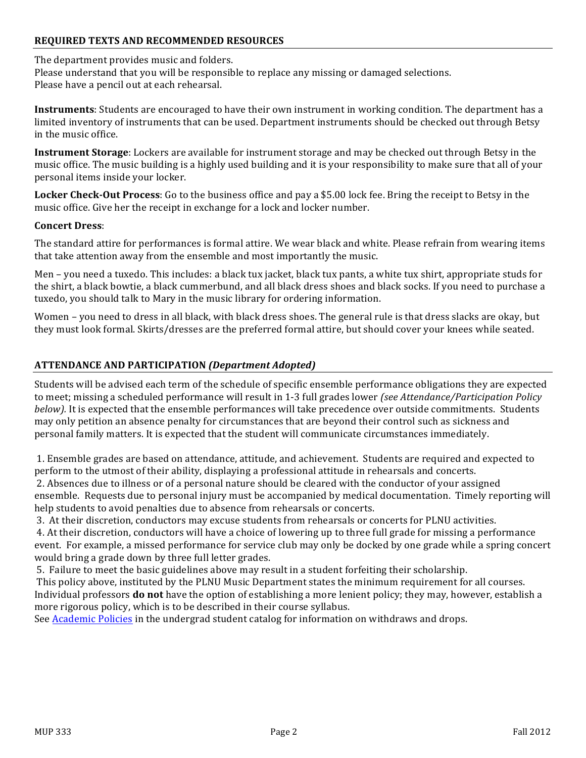# **REQUIRED TEXTS AND RECOMMENDED RESOURCES**

#### The department provides music and folders.

Please understand that you will be responsible to replace any missing or damaged selections. Please have a pencil out at each rehearsal.

**Instruments**: Students are encouraged to have their own instrument in working condition. The department has a limited inventory of instruments that can be used. Department instruments should be checked out through Betsy in the music office.

**Instrument Storage**: Lockers are available for instrument storage and may be checked out through Betsy in the music office. The music building is a highly used building and it is your responsibility to make sure that all of your personal items inside your locker.

**Locker Check-Out Process**: Go to the business office and pay a \$5.00 lock fee. Bring the receipt to Betsy in the music office. Give her the receipt in exchange for a lock and locker number.

#### **Concert Dress**:

The standard attire for performances is formal attire. We wear black and white. Please refrain from wearing items that take attention away from the ensemble and most importantly the music.

Men – you need a tuxedo. This includes: a black tux jacket, black tux pants, a white tux shirt, appropriate studs for the shirt, a black bowtie, a black cummerbund, and all black dress shoes and black socks. If you need to purchase a tuxedo, you should talk to Mary in the music library for ordering information.

Women – you need to dress in all black, with black dress shoes. The general rule is that dress slacks are okay, but they must look formal. Skirts/dresses are the preferred formal attire, but should cover your knees while seated.

## **ATTENDANCE AND PARTICIPATION** *(Department Adopted)*

Students will be advised each term of the schedule of specific ensemble performance obligations they are expected to meet; missing a scheduled performance will result in 1-3 full grades lower *(see Attendance/Participation Policy below).* It is expected that the ensemble performances will take precedence over outside commitments. Students may only petition an absence penalty for circumstances that are beyond their control such as sickness and personal family matters. It is expected that the student will communicate circumstances immediately.

1. Ensemble grades are based on attendance, attitude, and achievement. Students are required and expected to perform to the utmost of their ability, displaying a professional attitude in rehearsals and concerts. 2. Absences due to illness or of a personal nature should be cleared with the conductor of your assigned ensemble. Requests due to personal injury must be accompanied by medical documentation. Timely reporting will help students to avoid penalties due to absence from rehearsals or concerts.

3. At their discretion, conductors may excuse students from rehearsals or concerts for PLNU activities.

4. At their discretion, conductors will have a choice of lowering up to three full grade for missing a performance event. For example, a missed performance for service club may only be docked by one grade while a spring concert would bring a grade down by three full letter grades.

5. Failure to meet the basic guidelines above may result in a student forfeiting their scholarship.

This policy above, instituted by the PLNU Music Department states the minimum requirement for all courses. Individual professors **do not** have the option of establishing a more lenient policy; they may, however, establish a more rigorous policy, which is to be described in their course syllabus.

See Academic Policies in the undergrad student catalog for information on withdraws and drops.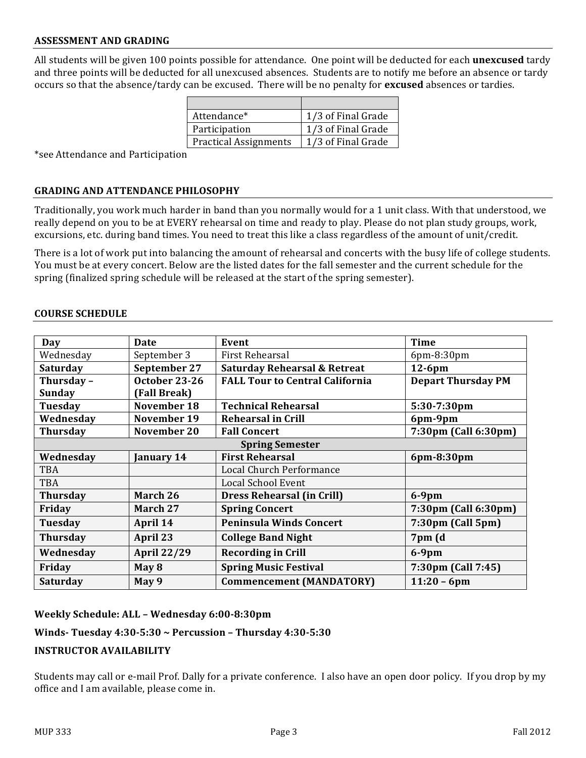### **ASSESSMENT AND GRADING**

All students will be given 100 points possible for attendance. One point will be deducted for each **unexcused** tardy and three points will be deducted for all unexcused absences. Students are to notify me before an absence or tardy occurs so that the absence/tardy can be excused. There will be no penalty for **excused** absences or tardies.

| Attendance*                  | 1/3 of Final Grade |
|------------------------------|--------------------|
| Participation                | 1/3 of Final Grade |
| <b>Practical Assignments</b> | 1/3 of Final Grade |

\*see Attendance and Participation 

#### **GRADING AND ATTENDANCE PHILOSOPHY**

Traditionally, you work much harder in band than you normally would for a 1 unit class. With that understood, we really depend on you to be at EVERY rehearsal on time and ready to play. Please do not plan study groups, work, excursions, etc. during band times. You need to treat this like a class regardless of the amount of unit/credit.

There is a lot of work put into balancing the amount of rehearsal and concerts with the busy life of college students. You must be at every concert. Below are the listed dates for the fall semester and the current schedule for the spring (finalized spring schedule will be released at the start of the spring semester).

#### **COURSE SCHEDULE**

| Day                    | Date               | Event                                   | <b>Time</b>                 |  |  |
|------------------------|--------------------|-----------------------------------------|-----------------------------|--|--|
| Wednesday              | September 3        | First Rehearsal                         | 6pm-8:30pm                  |  |  |
| <b>Saturday</b>        | September 27       | <b>Saturday Rehearsal &amp; Retreat</b> | $12-6$ pm                   |  |  |
| Thursday-              | October 23-26      | <b>FALL Tour to Central California</b>  | <b>Depart Thursday PM</b>   |  |  |
| <b>Sunday</b>          | (Fall Break)       |                                         |                             |  |  |
| Tuesday                | November 18        | <b>Technical Rehearsal</b>              | 5:30-7:30pm                 |  |  |
| Wednesday              | November 19        | <b>Rehearsal in Crill</b>               | 6pm-9pm                     |  |  |
| <b>Thursday</b>        | November 20        | <b>Fall Concert</b>                     | 7:30pm (Call 6:30pm)        |  |  |
| <b>Spring Semester</b> |                    |                                         |                             |  |  |
| Wednesday              | January 14         | <b>First Rehearsal</b>                  | 6pm-8:30pm                  |  |  |
| <b>TBA</b>             |                    | Local Church Performance                |                             |  |  |
| TBA                    |                    | <b>Local School Event</b>               |                             |  |  |
| <b>Thursday</b>        | March 26           | <b>Dress Rehearsal (in Crill)</b>       | $6-9$ pm                    |  |  |
| Friday                 | March 27           | <b>Spring Concert</b>                   | 7:30pm (Call 6:30pm)        |  |  |
| Tuesday                | April 14           | <b>Peninsula Winds Concert</b>          | $7:30 \text{pm}$ (Call 5pm) |  |  |
| <b>Thursday</b>        | April 23           | <b>College Band Night</b>               | 7pm (d                      |  |  |
| Wednesday              | <b>April 22/29</b> | <b>Recording in Crill</b>               | $6-9$ pm                    |  |  |
| Friday                 | May 8              | <b>Spring Music Festival</b>            | 7:30pm (Call 7:45)          |  |  |
| Saturday               | May 9              | <b>Commencement (MANDATORY)</b>         | $11:20 - 6$ pm              |  |  |

#### **Weekly Schedule: ALL – Wednesday 6:00-8:30pm** residentes de la comunicación de la comunicación en el este entidad en el este entidad en el este entidad en e<br>Comunicación de la comunicación de la comunicación de la comunicación de la comunicación de la comunicación de

### **Winds- Tuesday 4:30-5:30 ~ Percussion – Thursday 4:30-5:30**

Tuesday April 10 US Army Woodwind and Duncated Tuesday April 10 US Army Woodwind and Duncated Tuesday April 10

### **INSTRUCTOR AVAILABILITY**

Students may call or e-mail Prof. Dally for a private conference. I also have an open door policy. If you drop by my office and I am available, please come in.